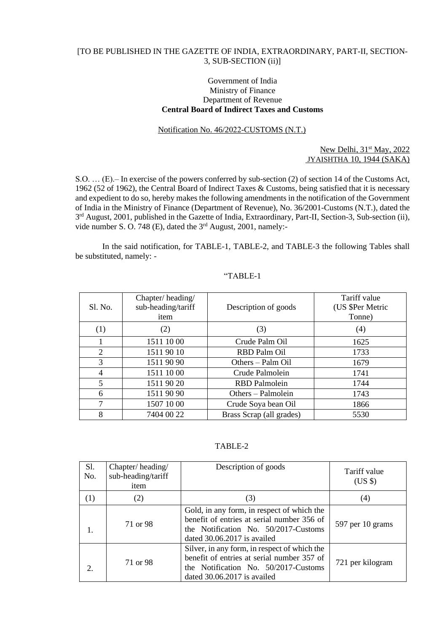## [TO BE PUBLISHED IN THE GAZETTE OF INDIA, EXTRAORDINARY, PART-II, SECTION-3, SUB-SECTION (ii)]

## Government of India Ministry of Finance Department of Revenue **Central Board of Indirect Taxes and Customs**

## Notification No. 46/2022-CUSTOMS (N.T.)

#### New Delhi, 31<sup>st</sup> May, 2022 JYAISHTHA 10, 1944 (SAKA)

S.O. … (E).– In exercise of the powers conferred by sub-section (2) of section 14 of the Customs Act, 1962 (52 of 1962), the Central Board of Indirect Taxes & Customs, being satisfied that it is necessary and expedient to do so, hereby makes the following amendments in the notification of the Government of India in the Ministry of Finance (Department of Revenue), No. 36/2001-Customs (N.T.), dated the 3<sup>rd</sup> August, 2001, published in the Gazette of India, Extraordinary, Part-II, Section-3, Sub-section (ii), vide number S. O. 748 (E), dated the 3rd August, 2001, namely:-

In the said notification, for TABLE-1, TABLE-2, and TABLE-3 the following Tables shall be substituted, namely: -

| Sl. No. | Chapter/heading/<br>sub-heading/tariff<br>item | Description of goods     | Tariff value<br>(US \$Per Metric<br>Tonne) |
|---------|------------------------------------------------|--------------------------|--------------------------------------------|
| (1)     | (2)                                            | (3)                      | (4)                                        |
|         | 1511 10 00                                     | Crude Palm Oil           | 1625                                       |
| 2       | 1511 90 10                                     | RBD Palm Oil             | 1733                                       |
| 3       | 1511 90 90                                     | Others – Palm Oil        | 1679                                       |
| 4       | 1511 10 00                                     | Crude Palmolein          | 1741                                       |
| 5       | 1511 90 20                                     | <b>RBD</b> Palmolein     | 1744                                       |
| 6       | 1511 90 90                                     | Others – Palmolein       | 1743                                       |
| 7       | 1507 10 00                                     | Crude Soya bean Oil      | 1866                                       |
| 8       | 7404 00 22                                     | Brass Scrap (all grades) | 5530                                       |

# "TABLE-1

TABLE-2

| <b>S1.</b><br>No.           | Chapter/heading/<br>sub-heading/tariff<br>item | Description of goods                                                                                                                                                | Tariff value<br>$(US \$ |
|-----------------------------|------------------------------------------------|---------------------------------------------------------------------------------------------------------------------------------------------------------------------|-------------------------|
| $\left(1\right)$            | (2)                                            | (3)                                                                                                                                                                 | (4)                     |
| 1.                          | 71 or 98                                       | Gold, in any form, in respect of which the<br>benefit of entries at serial number 356 of<br>the Notification No. 50/2017-Customs<br>dated 30.06.2017 is availed     | 597 per 10 grams        |
| $\mathcal{D}_{\mathcal{L}}$ | 71 or 98                                       | Silver, in any form, in respect of which the<br>benefit of entries at serial number 357 of<br>the Notification No. 50/2017-Customs<br>dated $30.06.2017$ is availed | 721 per kilogram        |